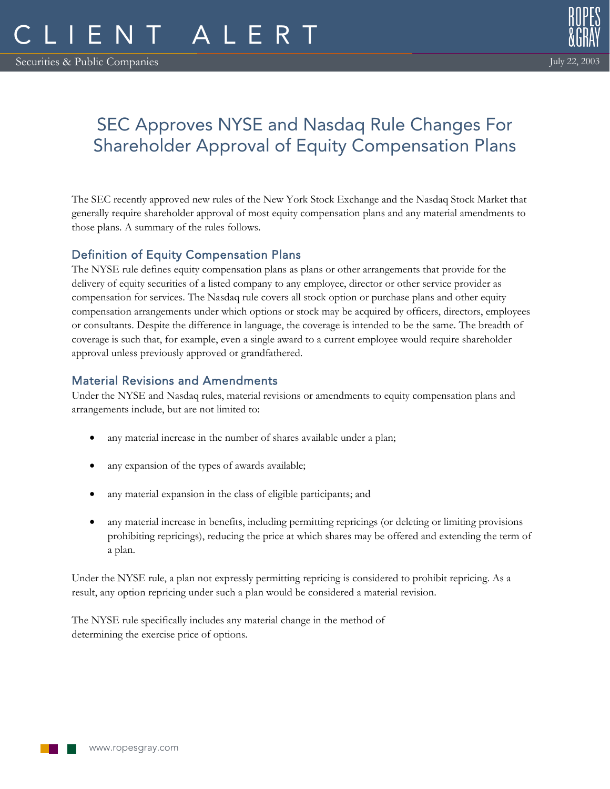

# SEC Approves NYSE and Nasdaq Rule Changes For Shareholder Approval of Equity Compensation Plans

The SEC recently approved new rules of the New York Stock Exchange and the Nasdaq Stock Market that generally require shareholder approval of most equity compensation plans and any material amendments to those plans. A summary of the rules follows.

# Definition of Equity Compensation Plans

The NYSE rule defines equity compensation plans as plans or other arrangements that provide for the delivery of equity securities of a listed company to any employee, director or other service provider as compensation for services. The Nasdaq rule covers all stock option or purchase plans and other equity compensation arrangements under which options or stock may be acquired by officers, directors, employees or consultants. Despite the difference in language, the coverage is intended to be the same. The breadth of coverage is such that, for example, even a single award to a current employee would require shareholder approval unless previously approved or grandfathered.

# Material Revisions and Amendments

Under the NYSE and Nasdaq rules, material revisions or amendments to equity compensation plans and arrangements include, but are not limited to:

- any material increase in the number of shares available under a plan;
- any expansion of the types of awards available;
- any material expansion in the class of eligible participants; and
- any material increase in benefits, including permitting repricings (or deleting or limiting provisions prohibiting repricings), reducing the price at which shares may be offered and extending the term of a plan.

Under the NYSE rule, a plan not expressly permitting repricing is considered to prohibit repricing. As a result, any option repricing under such a plan would be considered a material revision.

The NYSE rule specifically includes any material change in the method of determining the exercise price of options.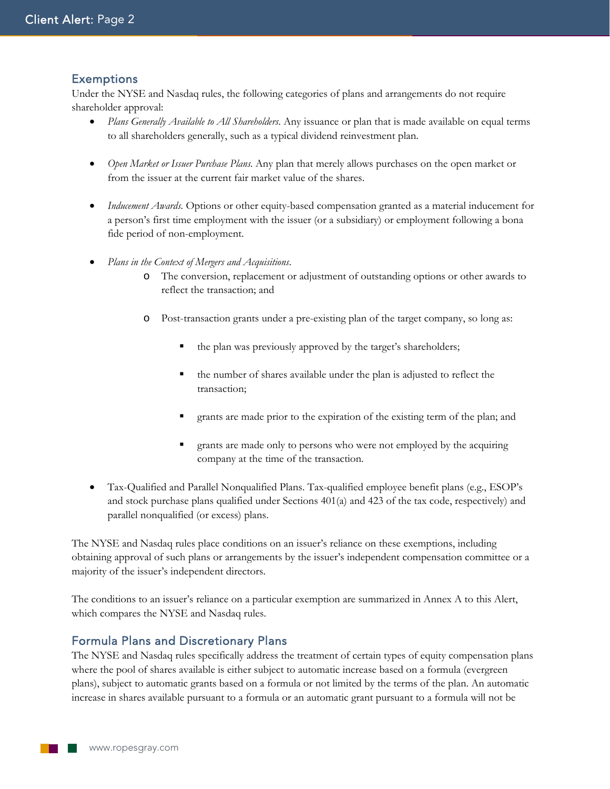## **Exemptions**

Under the NYSE and Nasdaq rules, the following categories of plans and arrangements do not require shareholder approval:

- *Plans Generally Available to All Shareholders*. Any issuance or plan that is made available on equal terms to all shareholders generally, such as a typical dividend reinvestment plan.
- *Open Market or Issuer Purchase Plans*. Any plan that merely allows purchases on the open market or from the issuer at the current fair market value of the shares.
- *Inducement Awards*. Options or other equity-based compensation granted as a material inducement for a person's first time employment with the issuer (or a subsidiary) or employment following a bona fide period of non-employment.
- *Plans in the Context of Mergers and Acquisitions*.
	- o The conversion, replacement or adjustment of outstanding options or other awards to reflect the transaction; and
	- o Post-transaction grants under a pre-existing plan of the target company, so long as:
		- the plan was previously approved by the target's shareholders;
		- the number of shares available under the plan is adjusted to reflect the transaction;
		- grants are made prior to the expiration of the existing term of the plan; and
		- grants are made only to persons who were not employed by the acquiring company at the time of the transaction.
- Tax-Qualified and Parallel Nonqualified Plans. Tax-qualified employee benefit plans (e.g., ESOP's and stock purchase plans qualified under Sections 401(a) and 423 of the tax code, respectively) and parallel nonqualified (or excess) plans.

The NYSE and Nasdaq rules place conditions on an issuer's reliance on these exemptions, including obtaining approval of such plans or arrangements by the issuer's independent compensation committee or a majority of the issuer's independent directors.

The conditions to an issuer's reliance on a particular exemption are summarized in Annex A to this Alert, which compares the NYSE and Nasdaq rules.

## Formula Plans and Discretionary Plans

The NYSE and Nasdaq rules specifically address the treatment of certain types of equity compensation plans where the pool of shares available is either subject to automatic increase based on a formula (evergreen plans), subject to automatic grants based on a formula or not limited by the terms of the plan. An automatic increase in shares available pursuant to a formula or an automatic grant pursuant to a formula will not be